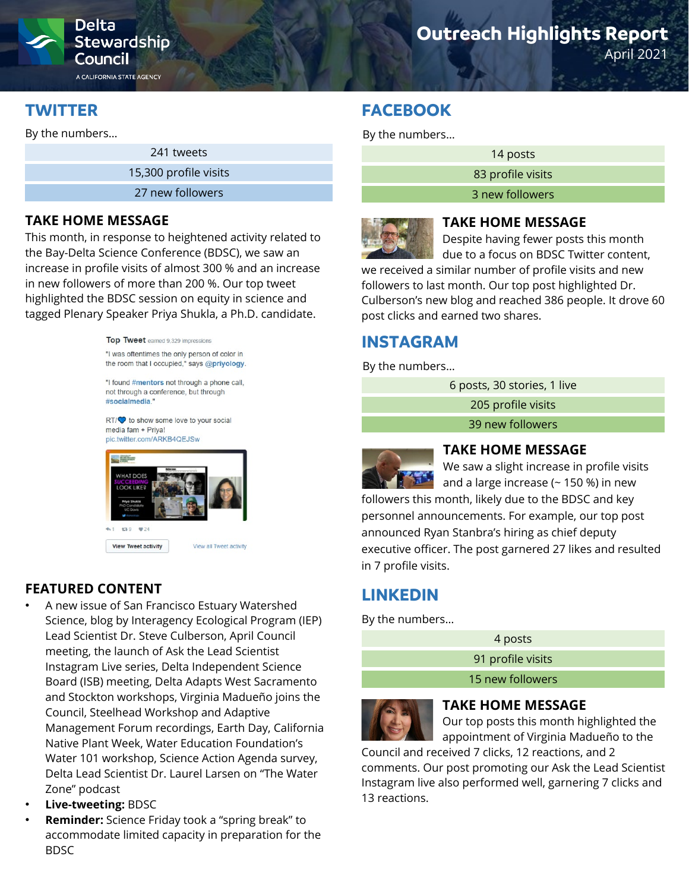

**Stewardship** Council

A CALIFORNIA STATE AGENCY

### **TWITTER**

By the numbers…

241 tweets

15,300 profile visits

27 new followers

#### **TAKE HOME MESSAGE**

This month, in response to heightened activity related to the Bay-Delta Science Conference (BDSC), we saw an increase in profile visits of almost 300 % and an increase in new followers of more than 200 %. Our top tweet highlighted the BDSC session on equity in science and tagged Plenary Speaker Priya Shukla, a Ph.D. candidate.

> Top Tweet earned 9,329 impressions "I was oftentimes the only person of color in the room that I occupied," says @priyology.

"I found #mentors not through a phone call, not through a conference, but through #socialmedia."

RT/ $\heartsuit$  to show some love to your social media fam + Priva! pic.twitter.com/ARKB4QEJSw



#### **FEATURED CONTENT**

- A new issue of San Francisco Estuary Watershed Science, blog by Interagency Ecological Program (IEP) Lead Scientist Dr. Steve Culberson, April Council meeting, the launch of Ask the Lead Scientist Instagram Live series, Delta Independent Science Board (ISB) meeting, Delta Adapts West Sacramento and Stockton workshops, Virginia Madueño joins the Council, Steelhead Workshop and Adaptive Management Forum recordings, Earth Day, California Native Plant Week, Water Education Foundation's Water 101 workshop, Science Action Agenda survey, Delta Lead Scientist Dr. Laurel Larsen on "The Water Zone" podcast
- **Live-tweeting:** BDSC
- **Reminder:** Science Friday took a "spring break" to accommodate limited capacity in preparation for the BDSC

# **Outreach Highlights Report**

April 2021

### **FACEBOOK**

By the numbers…

14 posts

83 profile visits

3 new followers



#### **TAKE HOME MESSAGE**

Despite having fewer posts this month due to a focus on BDSC Twitter content,

we received a similar number of profile visits and new followers to last month. Our top post highlighted Dr. Culberson's new blog and reached 386 people. It drove 60 post clicks and earned two shares.

### **INSTAGRAM**

By the numbers…

6 posts, 30 stories, 1 live

205 profile visits

39 new followers



#### **TAKE HOME MESSAGE**

We saw a slight increase in profile visits and a large increase ( $\sim$  150 %) in new

followers this month, likely due to the BDSC and key personnel announcements. For example, our top post announced Ryan Stanbra's hiring as chief deputy executive officer. The post garnered 27 likes and resulted in 7 profile visits.

## **LINKEDIN**

By the numbers…

4 posts

91 profile visits

15 new followers



#### **TAKE HOME MESSAGE**

Our top posts this month highlighted the appointment of Virginia Madueño to the

Council and received 7 clicks, 12 reactions, and 2 comments. Our post promoting our Ask the Lead Scientist Instagram live also performed well, garnering 7 clicks and 13 reactions.